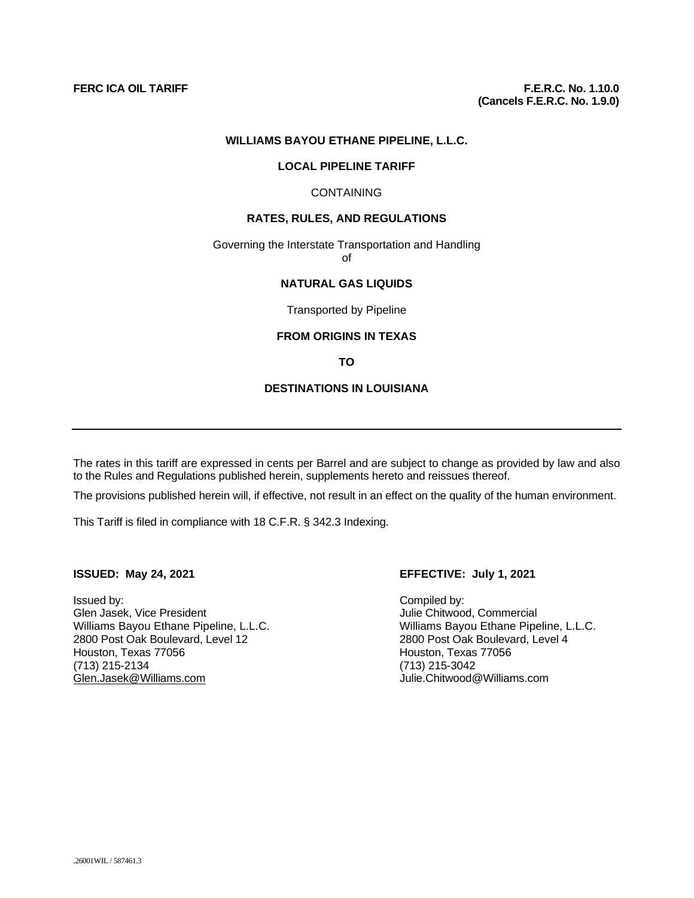#### **WILLIAMS BAYOU ETHANE PIPELINE, L.L.C.**

#### **LOCAL PIPELINE TARIFF**

#### CONTAINING

#### **RATES, RULES, AND REGULATIONS**

Governing the Interstate Transportation and Handling of

# **NATURAL GAS LIQUIDS**

Transported by Pipeline

## **FROM ORIGINS IN TEXAS**

**TO** 

#### **DESTINATIONS IN LOUISIANA**

The rates in this tariff are expressed in cents per Barrel and are subject to change as provided by law and also to the Rules and Regulations published herein, supplements hereto and reissues thereof.

The provisions published herein will, if effective, not result in an effect on the quality of the human environment.

This Tariff is filed in compliance with 18 C.F.R. § 342.3 Indexing.

Issued by: Compiled by: Williams Bayou Ethane Pipeline, L.L.C. Williams Bayou Ethane Pipeline, L<br>2800 Post Oak Boulevard, Level 12 2000 Post Oak Boulevard, Level 4 2800 Post Oak Boulevard, Level 12 Houston, Texas 77056 Houston, Texas 77056 (713) 215-2134 (713) 215-3042 [Glen.Jasek@Williams.com](mailto:Glen.Jasek@Williams.com)

#### **ISSUED: May 24, 2021 EFFECTIVE: July 1, 2021**

Glen Jasek, Vice President<br>
Williams Bayou Ethane Pipeline, L.L.C.<br>
Williams Bayou Ethane Pipeline, L.L.C.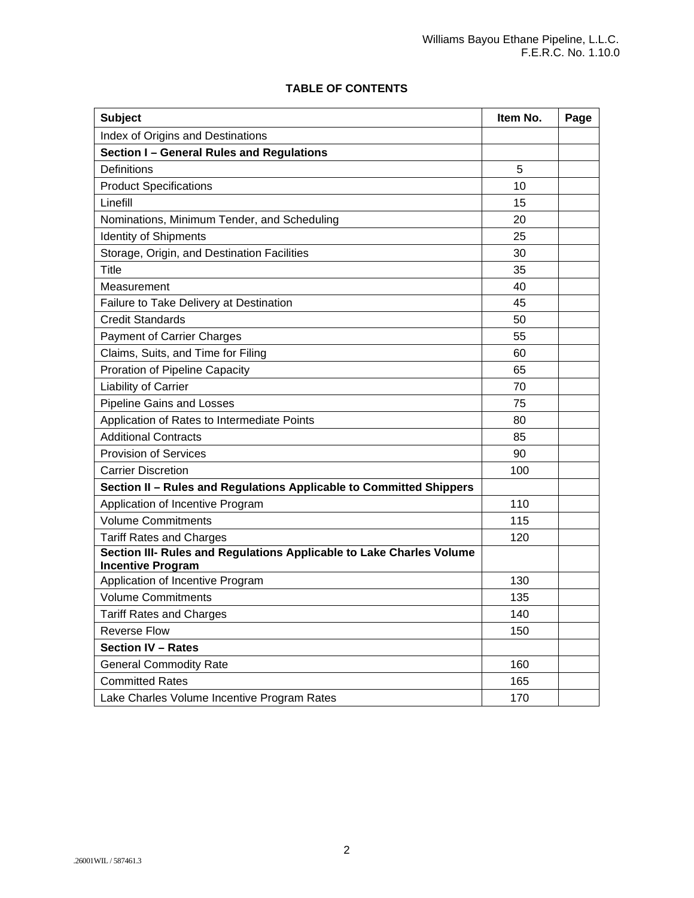# **TABLE OF CONTENTS**

| <b>Subject</b>                                                       | Item No. | Page |
|----------------------------------------------------------------------|----------|------|
| Index of Origins and Destinations                                    |          |      |
| Section I - General Rules and Regulations                            |          |      |
| <b>Definitions</b>                                                   | 5        |      |
| <b>Product Specifications</b>                                        | 10       |      |
| Linefill                                                             | 15       |      |
| Nominations, Minimum Tender, and Scheduling                          | 20       |      |
| <b>Identity of Shipments</b>                                         | 25       |      |
| Storage, Origin, and Destination Facilities                          | 30       |      |
| Title                                                                | 35       |      |
| Measurement                                                          | 40       |      |
| Failure to Take Delivery at Destination                              | 45       |      |
| <b>Credit Standards</b>                                              | 50       |      |
| <b>Payment of Carrier Charges</b>                                    | 55       |      |
| Claims, Suits, and Time for Filing                                   | 60       |      |
| Proration of Pipeline Capacity                                       | 65       |      |
| Liability of Carrier                                                 | 70       |      |
| <b>Pipeline Gains and Losses</b>                                     | 75       |      |
| Application of Rates to Intermediate Points                          | 80       |      |
| <b>Additional Contracts</b>                                          | 85       |      |
| <b>Provision of Services</b>                                         | 90       |      |
| <b>Carrier Discretion</b>                                            | 100      |      |
| Section II - Rules and Regulations Applicable to Committed Shippers  |          |      |
| Application of Incentive Program                                     | 110      |      |
| <b>Volume Commitments</b>                                            | 115      |      |
| <b>Tariff Rates and Charges</b>                                      | 120      |      |
| Section III- Rules and Regulations Applicable to Lake Charles Volume |          |      |
| <b>Incentive Program</b>                                             |          |      |
| Application of Incentive Program                                     | 130      |      |
| <b>Volume Commitments</b>                                            | 135      |      |
| <b>Tariff Rates and Charges</b>                                      | 140      |      |
| <b>Reverse Flow</b>                                                  | 150      |      |
| <b>Section IV - Rates</b>                                            |          |      |
| <b>General Commodity Rate</b>                                        | 160      |      |
| <b>Committed Rates</b>                                               | 165      |      |
| Lake Charles Volume Incentive Program Rates                          | 170      |      |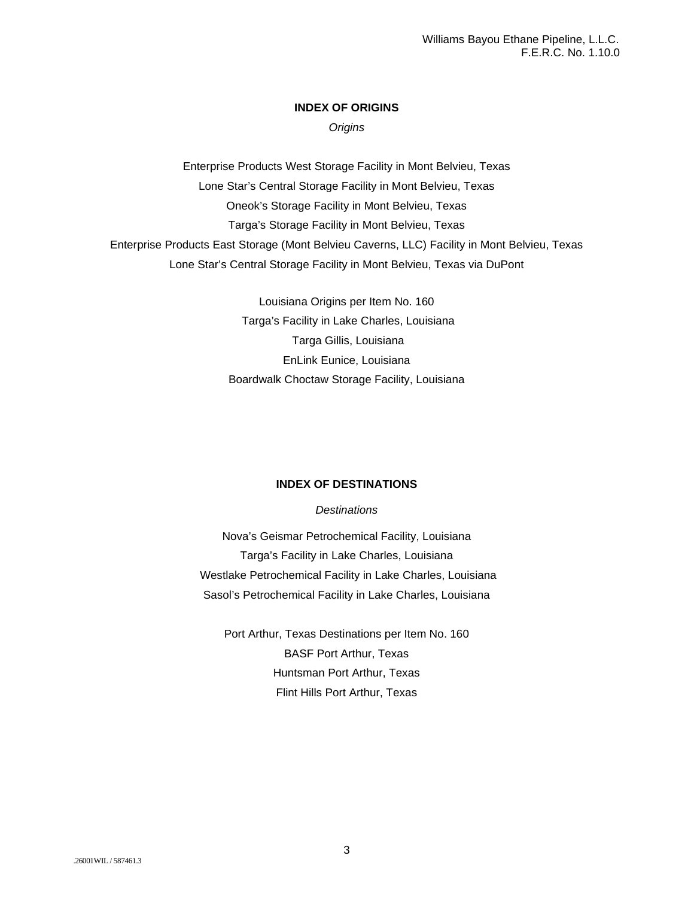## **INDEX OF ORIGINS**

*Origins*

Enterprise Products West Storage Facility in Mont Belvieu, Texas Lone Star's Central Storage Facility in Mont Belvieu, Texas Oneok's Storage Facility in Mont Belvieu, Texas Targa's Storage Facility in Mont Belvieu, Texas Enterprise Products East Storage (Mont Belvieu Caverns, LLC) Facility in Mont Belvieu, Texas Lone Star's Central Storage Facility in Mont Belvieu, Texas via DuPont

> Louisiana Origins per Item No. 160 Targa's Facility in Lake Charles, Louisiana Targa Gillis, Louisiana EnLink Eunice, Louisiana Boardwalk Choctaw Storage Facility, Louisiana

## **INDEX OF DESTINATIONS**

#### *Destinations*

Nova's Geismar Petrochemical Facility, Louisiana Targa's Facility in Lake Charles, Louisiana Westlake Petrochemical Facility in Lake Charles, Louisiana Sasol's Petrochemical Facility in Lake Charles, Louisiana

Port Arthur, Texas Destinations per Item No. 160 BASF Port Arthur, Texas Huntsman Port Arthur, Texas Flint Hills Port Arthur, Texas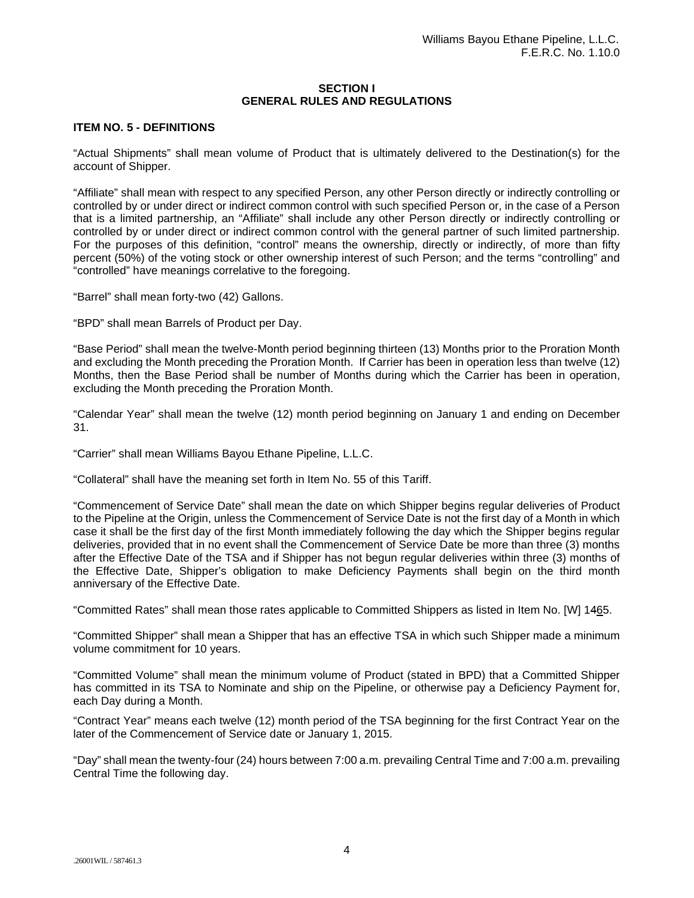#### **SECTION I GENERAL RULES AND REGULATIONS**

### **ITEM NO. 5 - DEFINITIONS**

"Actual Shipments" shall mean volume of Product that is ultimately delivered to the Destination(s) for the account of Shipper.

"Affiliate" shall mean with respect to any specified Person, any other Person directly or indirectly controlling or controlled by or under direct or indirect common control with such specified Person or, in the case of a Person that is a limited partnership, an "Affiliate" shall include any other Person directly or indirectly controlling or controlled by or under direct or indirect common control with the general partner of such limited partnership. For the purposes of this definition, "control" means the ownership, directly or indirectly, of more than fifty percent (50%) of the voting stock or other ownership interest of such Person; and the terms "controlling" and "controlled" have meanings correlative to the foregoing.

"Barrel" shall mean forty-two (42) Gallons.

"BPD" shall mean Barrels of Product per Day.

"Base Period" shall mean the twelve-Month period beginning thirteen (13) Months prior to the Proration Month and excluding the Month preceding the Proration Month. If Carrier has been in operation less than twelve (12) Months, then the Base Period shall be number of Months during which the Carrier has been in operation, excluding the Month preceding the Proration Month.

"Calendar Year" shall mean the twelve (12) month period beginning on January 1 and ending on December 31.

"Carrier" shall mean Williams Bayou Ethane Pipeline, L.L.C.

"Collateral" shall have the meaning set forth in Item No. 55 of this Tariff.

"Commencement of Service Date" shall mean the date on which Shipper begins regular deliveries of Product to the Pipeline at the Origin, unless the Commencement of Service Date is not the first day of a Month in which case it shall be the first day of the first Month immediately following the day which the Shipper begins regular deliveries, provided that in no event shall the Commencement of Service Date be more than three (3) months after the Effective Date of the TSA and if Shipper has not begun regular deliveries within three (3) months of the Effective Date, Shipper's obligation to make Deficiency Payments shall begin on the third month anniversary of the Effective Date.

"Committed Rates" shall mean those rates applicable to Committed Shippers as listed in Item No. [W] 1465.

"Committed Shipper" shall mean a Shipper that has an effective TSA in which such Shipper made a minimum volume commitment for 10 years.

"Committed Volume" shall mean the minimum volume of Product (stated in BPD) that a Committed Shipper has committed in its TSA to Nominate and ship on the Pipeline, or otherwise pay a Deficiency Payment for, each Day during a Month.

"Contract Year" means each twelve (12) month period of the TSA beginning for the first Contract Year on the later of the Commencement of Service date or January 1, 2015.

"Day" shall mean the twenty-four (24) hours between 7:00 a.m. prevailing Central Time and 7:00 a.m. prevailing Central Time the following day.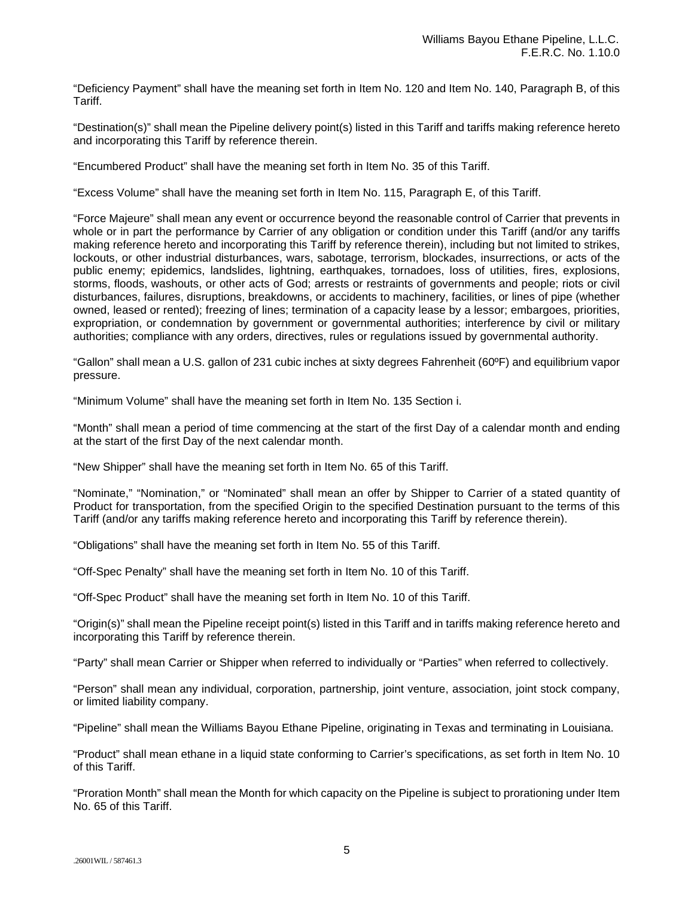"Deficiency Payment" shall have the meaning set forth in Item No. 120 and Item No. 140, Paragraph B, of this Tariff.

"Destination(s)" shall mean the Pipeline delivery point(s) listed in this Tariff and tariffs making reference hereto and incorporating this Tariff by reference therein.

"Encumbered Product" shall have the meaning set forth in Item No. 35 of this Tariff.

"Excess Volume" shall have the meaning set forth in Item No. 115, Paragraph E, of this Tariff.

"Force Majeure" shall mean any event or occurrence beyond the reasonable control of Carrier that prevents in whole or in part the performance by Carrier of any obligation or condition under this Tariff (and/or any tariffs making reference hereto and incorporating this Tariff by reference therein), including but not limited to strikes, lockouts, or other industrial disturbances, wars, sabotage, terrorism, blockades, insurrections, or acts of the public enemy; epidemics, landslides, lightning, earthquakes, tornadoes, loss of utilities, fires, explosions, storms, floods, washouts, or other acts of God; arrests or restraints of governments and people; riots or civil disturbances, failures, disruptions, breakdowns, or accidents to machinery, facilities, or lines of pipe (whether owned, leased or rented); freezing of lines; termination of a capacity lease by a lessor; embargoes, priorities, expropriation, or condemnation by government or governmental authorities; interference by civil or military authorities; compliance with any orders, directives, rules or regulations issued by governmental authority.

"Gallon" shall mean a U.S. gallon of 231 cubic inches at sixty degrees Fahrenheit (60ºF) and equilibrium vapor pressure.

"Minimum Volume" shall have the meaning set forth in Item No. 135 Section i.

"Month" shall mean a period of time commencing at the start of the first Day of a calendar month and ending at the start of the first Day of the next calendar month.

"New Shipper" shall have the meaning set forth in Item No. 65 of this Tariff.

"Nominate," "Nomination," or "Nominated" shall mean an offer by Shipper to Carrier of a stated quantity of Product for transportation, from the specified Origin to the specified Destination pursuant to the terms of this Tariff (and/or any tariffs making reference hereto and incorporating this Tariff by reference therein).

"Obligations" shall have the meaning set forth in Item No. 55 of this Tariff.

"Off-Spec Penalty" shall have the meaning set forth in Item No. 10 of this Tariff.

"Off-Spec Product" shall have the meaning set forth in Item No. 10 of this Tariff.

"Origin(s)" shall mean the Pipeline receipt point(s) listed in this Tariff and in tariffs making reference hereto and incorporating this Tariff by reference therein.

"Party" shall mean Carrier or Shipper when referred to individually or "Parties" when referred to collectively.

"Person" shall mean any individual, corporation, partnership, joint venture, association, joint stock company, or limited liability company.

"Pipeline" shall mean the Williams Bayou Ethane Pipeline, originating in Texas and terminating in Louisiana.

"Product" shall mean ethane in a liquid state conforming to Carrier's specifications, as set forth in Item No. 10 of this Tariff.

"Proration Month" shall mean the Month for which capacity on the Pipeline is subject to prorationing under Item No. 65 of this Tariff.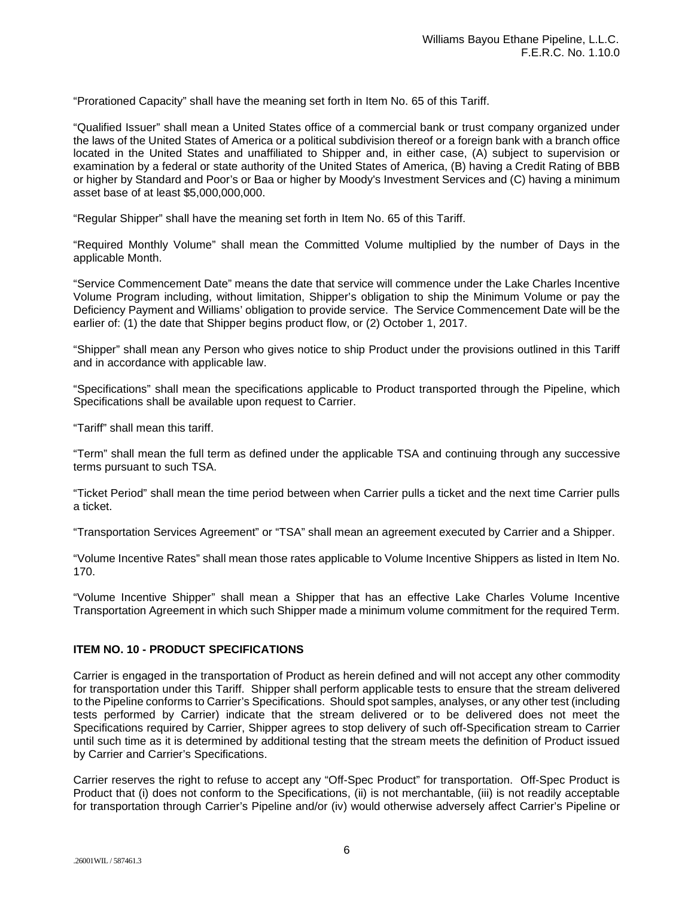"Prorationed Capacity" shall have the meaning set forth in Item No. 65 of this Tariff.

"Qualified Issuer" shall mean a United States office of a commercial bank or trust company organized under the laws of the United States of America or a political subdivision thereof or a foreign bank with a branch office located in the United States and unaffiliated to Shipper and, in either case, (A) subject to supervision or examination by a federal or state authority of the United States of America, (B) having a Credit Rating of BBB or higher by Standard and Poor's or Baa or higher by Moody's Investment Services and (C) having a minimum asset base of at least \$5,000,000,000.

"Regular Shipper" shall have the meaning set forth in Item No. 65 of this Tariff.

"Required Monthly Volume" shall mean the Committed Volume multiplied by the number of Days in the applicable Month.

"Service Commencement Date" means the date that service will commence under the Lake Charles Incentive Volume Program including, without limitation, Shipper's obligation to ship the Minimum Volume or pay the Deficiency Payment and Williams' obligation to provide service. The Service Commencement Date will be the earlier of: (1) the date that Shipper begins product flow, or (2) October 1, 2017.

"Shipper" shall mean any Person who gives notice to ship Product under the provisions outlined in this Tariff and in accordance with applicable law.

"Specifications" shall mean the specifications applicable to Product transported through the Pipeline, which Specifications shall be available upon request to Carrier.

"Tariff" shall mean this tariff.

"Term" shall mean the full term as defined under the applicable TSA and continuing through any successive terms pursuant to such TSA.

"Ticket Period" shall mean the time period between when Carrier pulls a ticket and the next time Carrier pulls a ticket.

"Transportation Services Agreement" or "TSA" shall mean an agreement executed by Carrier and a Shipper.

"Volume Incentive Rates" shall mean those rates applicable to Volume Incentive Shippers as listed in Item No. 170.

"Volume Incentive Shipper" shall mean a Shipper that has an effective Lake Charles Volume Incentive Transportation Agreement in which such Shipper made a minimum volume commitment for the required Term.

## **ITEM NO. 10 - PRODUCT SPECIFICATIONS**

Carrier is engaged in the transportation of Product as herein defined and will not accept any other commodity for transportation under this Tariff. Shipper shall perform applicable tests to ensure that the stream delivered to the Pipeline conforms to Carrier's Specifications. Should spot samples, analyses, or any other test (including tests performed by Carrier) indicate that the stream delivered or to be delivered does not meet the Specifications required by Carrier, Shipper agrees to stop delivery of such off-Specification stream to Carrier until such time as it is determined by additional testing that the stream meets the definition of Product issued by Carrier and Carrier's Specifications.

Carrier reserves the right to refuse to accept any "Off-Spec Product" for transportation. Off-Spec Product is Product that (i) does not conform to the Specifications, (ii) is not merchantable, (iii) is not readily acceptable for transportation through Carrier's Pipeline and/or (iv) would otherwise adversely affect Carrier's Pipeline or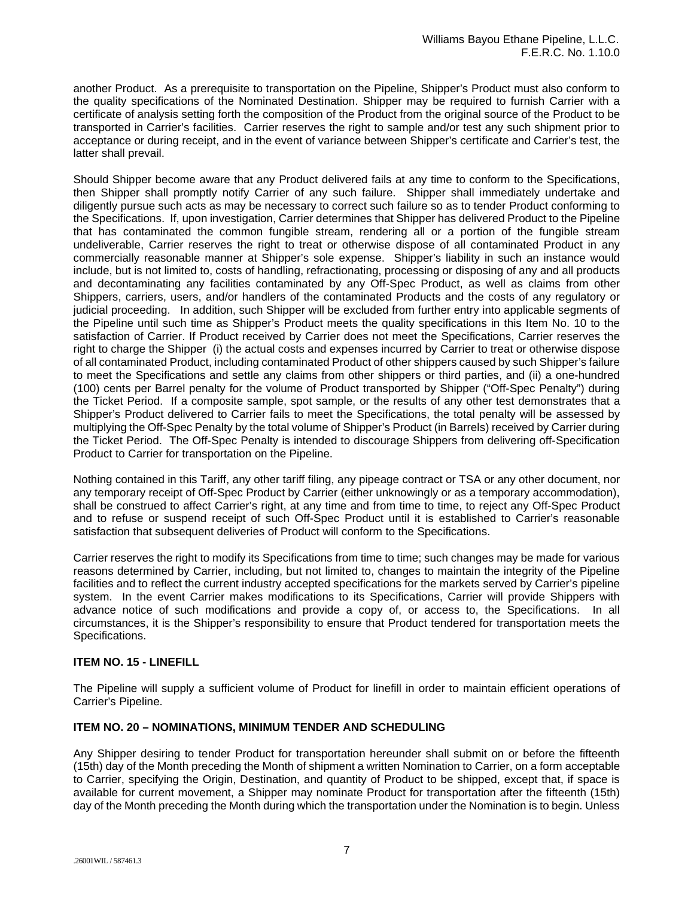another Product. As a prerequisite to transportation on the Pipeline, Shipper's Product must also conform to the quality specifications of the Nominated Destination. Shipper may be required to furnish Carrier with a certificate of analysis setting forth the composition of the Product from the original source of the Product to be transported in Carrier's facilities. Carrier reserves the right to sample and/or test any such shipment prior to acceptance or during receipt, and in the event of variance between Shipper's certificate and Carrier's test, the latter shall prevail.

Should Shipper become aware that any Product delivered fails at any time to conform to the Specifications, then Shipper shall promptly notify Carrier of any such failure. Shipper shall immediately undertake and diligently pursue such acts as may be necessary to correct such failure so as to tender Product conforming to the Specifications. If, upon investigation, Carrier determines that Shipper has delivered Product to the Pipeline that has contaminated the common fungible stream, rendering all or a portion of the fungible stream undeliverable, Carrier reserves the right to treat or otherwise dispose of all contaminated Product in any commercially reasonable manner at Shipper's sole expense. Shipper's liability in such an instance would include, but is not limited to, costs of handling, refractionating, processing or disposing of any and all products and decontaminating any facilities contaminated by any Off-Spec Product, as well as claims from other Shippers, carriers, users, and/or handlers of the contaminated Products and the costs of any regulatory or judicial proceeding. In addition, such Shipper will be excluded from further entry into applicable segments of the Pipeline until such time as Shipper's Product meets the quality specifications in this Item No. 10 to the satisfaction of Carrier. If Product received by Carrier does not meet the Specifications, Carrier reserves the right to charge the Shipper (i) the actual costs and expenses incurred by Carrier to treat or otherwise dispose of all contaminated Product, including contaminated Product of other shippers caused by such Shipper's failure to meet the Specifications and settle any claims from other shippers or third parties, and (ii) a one-hundred (100) cents per Barrel penalty for the volume of Product transported by Shipper ("Off-Spec Penalty") during the Ticket Period. If a composite sample, spot sample, or the results of any other test demonstrates that a Shipper's Product delivered to Carrier fails to meet the Specifications, the total penalty will be assessed by multiplying the Off-Spec Penalty by the total volume of Shipper's Product (in Barrels) received by Carrier during the Ticket Period. The Off-Spec Penalty is intended to discourage Shippers from delivering off-Specification Product to Carrier for transportation on the Pipeline.

Nothing contained in this Tariff, any other tariff filing, any pipeage contract or TSA or any other document, nor any temporary receipt of Off-Spec Product by Carrier (either unknowingly or as a temporary accommodation), shall be construed to affect Carrier's right, at any time and from time to time, to reject any Off-Spec Product and to refuse or suspend receipt of such Off-Spec Product until it is established to Carrier's reasonable satisfaction that subsequent deliveries of Product will conform to the Specifications.

Carrier reserves the right to modify its Specifications from time to time; such changes may be made for various reasons determined by Carrier, including, but not limited to, changes to maintain the integrity of the Pipeline facilities and to reflect the current industry accepted specifications for the markets served by Carrier's pipeline system. In the event Carrier makes modifications to its Specifications, Carrier will provide Shippers with advance notice of such modifications and provide a copy of, or access to, the Specifications. In all circumstances, it is the Shipper's responsibility to ensure that Product tendered for transportation meets the Specifications.

## **ITEM NO. 15 - LINEFILL**

The Pipeline will supply a sufficient volume of Product for linefill in order to maintain efficient operations of Carrier's Pipeline.

#### **ITEM NO. 20 – NOMINATIONS, MINIMUM TENDER AND SCHEDULING**

Any Shipper desiring to tender Product for transportation hereunder shall submit on or before the fifteenth (15th) day of the Month preceding the Month of shipment a written Nomination to Carrier, on a form acceptable to Carrier, specifying the Origin, Destination, and quantity of Product to be shipped, except that, if space is available for current movement, a Shipper may nominate Product for transportation after the fifteenth (15th) day of the Month preceding the Month during which the transportation under the Nomination is to begin. Unless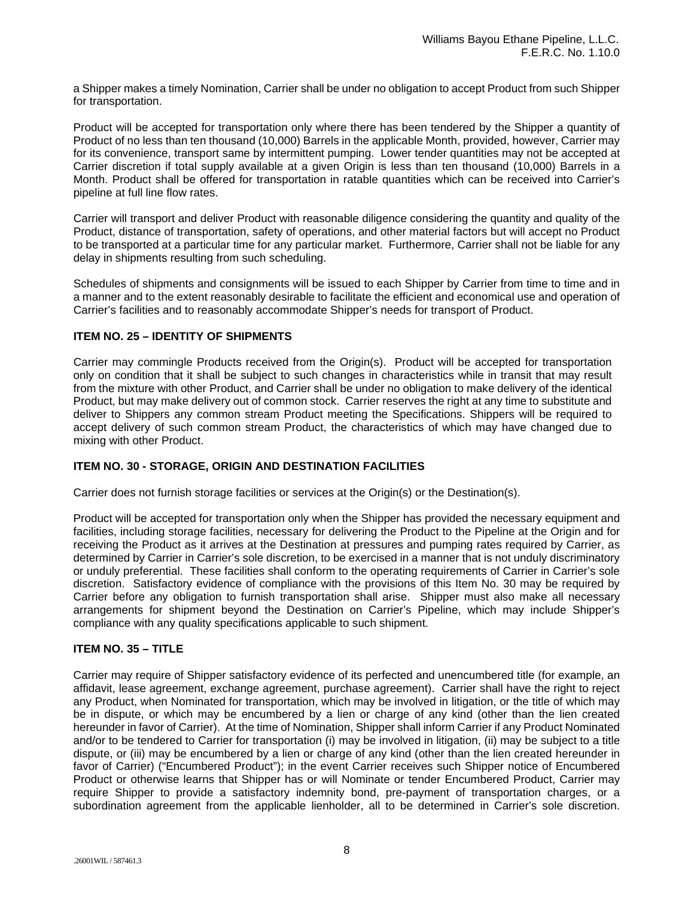a Shipper makes a timely Nomination, Carrier shall be under no obligation to accept Product from such Shipper for transportation.

Product will be accepted for transportation only where there has been tendered by the Shipper a quantity of Product of no less than ten thousand (10,000) Barrels in the applicable Month, provided, however, Carrier may for its convenience, transport same by intermittent pumping. Lower tender quantities may not be accepted at Carrier discretion if total supply available at a given Origin is less than ten thousand (10,000) Barrels in a Month. Product shall be offered for transportation in ratable quantities which can be received into Carrier's pipeline at full line flow rates.

Carrier will transport and deliver Product with reasonable diligence considering the quantity and quality of the Product, distance of transportation, safety of operations, and other material factors but will accept no Product to be transported at a particular time for any particular market. Furthermore, Carrier shall not be liable for any delay in shipments resulting from such scheduling.

Schedules of shipments and consignments will be issued to each Shipper by Carrier from time to time and in a manner and to the extent reasonably desirable to facilitate the efficient and economical use and operation of Carrier's facilities and to reasonably accommodate Shipper's needs for transport of Product.

## **ITEM NO. 25 – IDENTITY OF SHIPMENTS**

Carrier may commingle Products received from the Origin(s). Product will be accepted for transportation only on condition that it shall be subject to such changes in characteristics while in transit that may result from the mixture with other Product, and Carrier shall be under no obligation to make delivery of the identical Product, but may make delivery out of common stock. Carrier reserves the right at any time to substitute and deliver to Shippers any common stream Product meeting the Specifications. Shippers will be required to accept delivery of such common stream Product, the characteristics of which may have changed due to mixing with other Product.

## **ITEM NO. 30 - STORAGE, ORIGIN AND DESTINATION FACILITIES**

Carrier does not furnish storage facilities or services at the Origin(s) or the Destination(s).

Product will be accepted for transportation only when the Shipper has provided the necessary equipment and facilities, including storage facilities, necessary for delivering the Product to the Pipeline at the Origin and for receiving the Product as it arrives at the Destination at pressures and pumping rates required by Carrier, as determined by Carrier in Carrier's sole discretion, to be exercised in a manner that is not unduly discriminatory or unduly preferential. These facilities shall conform to the operating requirements of Carrier in Carrier's sole discretion. Satisfactory evidence of compliance with the provisions of this Item No. 30 may be required by Carrier before any obligation to furnish transportation shall arise. Shipper must also make all necessary arrangements for shipment beyond the Destination on Carrier's Pipeline, which may include Shipper's compliance with any quality specifications applicable to such shipment.

#### **ITEM NO. 35 – TITLE**

Carrier may require of Shipper satisfactory evidence of its perfected and unencumbered title (for example, an affidavit, lease agreement, exchange agreement, purchase agreement). Carrier shall have the right to reject any Product, when Nominated for transportation, which may be involved in litigation, or the title of which may be in dispute, or which may be encumbered by a lien or charge of any kind (other than the lien created hereunder in favor of Carrier). At the time of Nomination, Shipper shall inform Carrier if any Product Nominated and/or to be tendered to Carrier for transportation (i) may be involved in litigation, (ii) may be subject to a title dispute, or (iii) may be encumbered by a lien or charge of any kind (other than the lien created hereunder in favor of Carrier) ("Encumbered Product"); in the event Carrier receives such Shipper notice of Encumbered Product or otherwise learns that Shipper has or will Nominate or tender Encumbered Product, Carrier may require Shipper to provide a satisfactory indemnity bond, pre-payment of transportation charges, or a subordination agreement from the applicable lienholder, all to be determined in Carrier's sole discretion.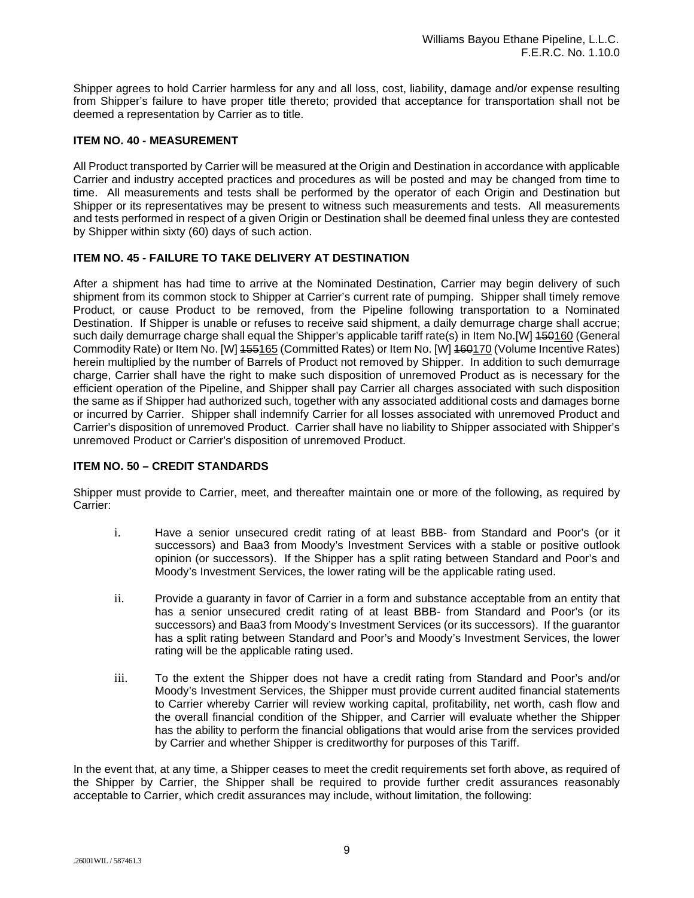Shipper agrees to hold Carrier harmless for any and all loss, cost, liability, damage and/or expense resulting from Shipper's failure to have proper title thereto; provided that acceptance for transportation shall not be deemed a representation by Carrier as to title.

## **ITEM NO. 40 - MEASUREMENT**

All Product transported by Carrier will be measured at the Origin and Destination in accordance with applicable Carrier and industry accepted practices and procedures as will be posted and may be changed from time to time. All measurements and tests shall be performed by the operator of each Origin and Destination but Shipper or its representatives may be present to witness such measurements and tests. All measurements and tests performed in respect of a given Origin or Destination shall be deemed final unless they are contested by Shipper within sixty (60) days of such action.

## **ITEM NO. 45 - FAILURE TO TAKE DELIVERY AT DESTINATION**

After a shipment has had time to arrive at the Nominated Destination, Carrier may begin delivery of such shipment from its common stock to Shipper at Carrier's current rate of pumping. Shipper shall timely remove Product, or cause Product to be removed, from the Pipeline following transportation to a Nominated Destination. If Shipper is unable or refuses to receive said shipment, a daily demurrage charge shall accrue; such daily demurrage charge shall equal the Shipper's applicable tariff rate(s) in Item No.[W] 450160 (General Commodity Rate) or Item No. [W] 155165 (Committed Rates) or Item No. [W] 160170 (Volume Incentive Rates) herein multiplied by the number of Barrels of Product not removed by Shipper. In addition to such demurrage charge, Carrier shall have the right to make such disposition of unremoved Product as is necessary for the efficient operation of the Pipeline, and Shipper shall pay Carrier all charges associated with such disposition the same as if Shipper had authorized such, together with any associated additional costs and damages borne or incurred by Carrier. Shipper shall indemnify Carrier for all losses associated with unremoved Product and Carrier's disposition of unremoved Product. Carrier shall have no liability to Shipper associated with Shipper's unremoved Product or Carrier's disposition of unremoved Product.

#### **ITEM NO. 50 – CREDIT STANDARDS**

Shipper must provide to Carrier, meet, and thereafter maintain one or more of the following, as required by Carrier:

- i. Have a senior unsecured credit rating of at least BBB- from Standard and Poor's (or it successors) and Baa3 from Moody's Investment Services with a stable or positive outlook opinion (or successors). If the Shipper has a split rating between Standard and Poor's and Moody's Investment Services, the lower rating will be the applicable rating used.
- ii. Provide a guaranty in favor of Carrier in a form and substance acceptable from an entity that has a senior unsecured credit rating of at least BBB- from Standard and Poor's (or its successors) and Baa3 from Moody's Investment Services (or its successors). If the guarantor has a split rating between Standard and Poor's and Moody's Investment Services, the lower rating will be the applicable rating used.
- iii. To the extent the Shipper does not have a credit rating from Standard and Poor's and/or Moody's Investment Services, the Shipper must provide current audited financial statements to Carrier whereby Carrier will review working capital, profitability, net worth, cash flow and the overall financial condition of the Shipper, and Carrier will evaluate whether the Shipper has the ability to perform the financial obligations that would arise from the services provided by Carrier and whether Shipper is creditworthy for purposes of this Tariff.

In the event that, at any time, a Shipper ceases to meet the credit requirements set forth above, as required of the Shipper by Carrier, the Shipper shall be required to provide further credit assurances reasonably acceptable to Carrier, which credit assurances may include, without limitation, the following: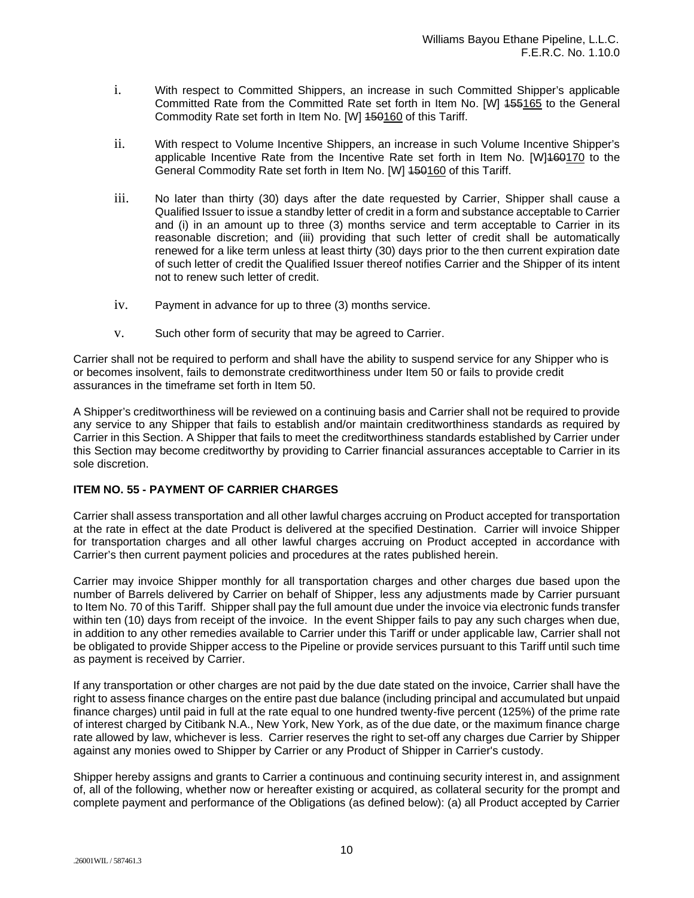- i. With respect to Committed Shippers, an increase in such Committed Shipper's applicable Committed Rate from the Committed Rate set forth in Item No. [W] 155165 to the General Commodity Rate set forth in Item No. [W] 150160 of this Tariff.
- ii. With respect to Volume Incentive Shippers, an increase in such Volume Incentive Shipper's applicable Incentive Rate from the Incentive Rate set forth in Item No. [W]160170 to the General Commodity Rate set forth in Item No. [W] 450160 of this Tariff.
- iii. No later than thirty (30) days after the date requested by Carrier, Shipper shall cause a Qualified Issuer to issue a standby letter of credit in a form and substance acceptable to Carrier and (i) in an amount up to three (3) months service and term acceptable to Carrier in its reasonable discretion; and (iii) providing that such letter of credit shall be automatically renewed for a like term unless at least thirty (30) days prior to the then current expiration date of such letter of credit the Qualified Issuer thereof notifies Carrier and the Shipper of its intent not to renew such letter of credit.
- iv. Payment in advance for up to three (3) months service.
- v. Such other form of security that may be agreed to Carrier.

Carrier shall not be required to perform and shall have the ability to suspend service for any Shipper who is or becomes insolvent, fails to demonstrate creditworthiness under Item 50 or fails to provide credit assurances in the timeframe set forth in Item 50.

A Shipper's creditworthiness will be reviewed on a continuing basis and Carrier shall not be required to provide any service to any Shipper that fails to establish and/or maintain creditworthiness standards as required by Carrier in this Section. A Shipper that fails to meet the creditworthiness standards established by Carrier under this Section may become creditworthy by providing to Carrier financial assurances acceptable to Carrier in its sole discretion.

## **ITEM NO. 55 - PAYMENT OF CARRIER CHARGES**

Carrier shall assess transportation and all other lawful charges accruing on Product accepted for transportation at the rate in effect at the date Product is delivered at the specified Destination. Carrier will invoice Shipper for transportation charges and all other lawful charges accruing on Product accepted in accordance with Carrier's then current payment policies and procedures at the rates published herein.

Carrier may invoice Shipper monthly for all transportation charges and other charges due based upon the number of Barrels delivered by Carrier on behalf of Shipper, less any adjustments made by Carrier pursuant to Item No. 70 of this Tariff. Shipper shall pay the full amount due under the invoice via electronic funds transfer within ten (10) days from receipt of the invoice. In the event Shipper fails to pay any such charges when due, in addition to any other remedies available to Carrier under this Tariff or under applicable law, Carrier shall not be obligated to provide Shipper access to the Pipeline or provide services pursuant to this Tariff until such time as payment is received by Carrier.

If any transportation or other charges are not paid by the due date stated on the invoice, Carrier shall have the right to assess finance charges on the entire past due balance (including principal and accumulated but unpaid finance charges) until paid in full at the rate equal to one hundred twenty-five percent (125%) of the prime rate of interest charged by Citibank N.A., New York, New York, as of the due date, or the maximum finance charge rate allowed by law, whichever is less. Carrier reserves the right to set-off any charges due Carrier by Shipper against any monies owed to Shipper by Carrier or any Product of Shipper in Carrier's custody.

Shipper hereby assigns and grants to Carrier a continuous and continuing security interest in, and assignment of, all of the following, whether now or hereafter existing or acquired, as collateral security for the prompt and complete payment and performance of the Obligations (as defined below): (a) all Product accepted by Carrier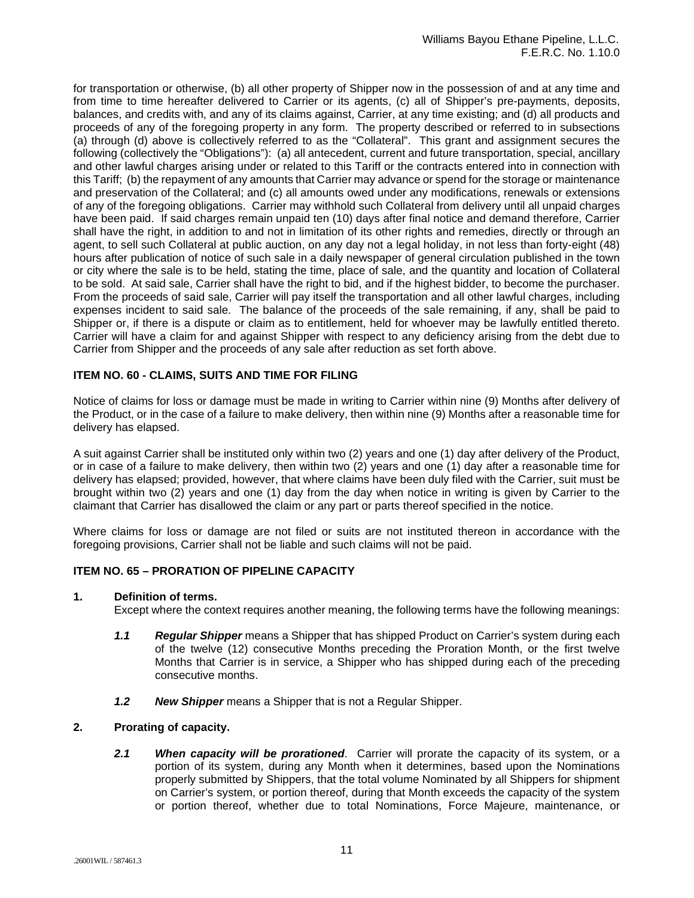for transportation or otherwise, (b) all other property of Shipper now in the possession of and at any time and from time to time hereafter delivered to Carrier or its agents, (c) all of Shipper's pre-payments, deposits, balances, and credits with, and any of its claims against, Carrier, at any time existing; and (d) all products and proceeds of any of the foregoing property in any form. The property described or referred to in subsections (a) through (d) above is collectively referred to as the "Collateral". This grant and assignment secures the following (collectively the "Obligations"): (a) all antecedent, current and future transportation, special, ancillary and other lawful charges arising under or related to this Tariff or the contracts entered into in connection with this Tariff; (b) the repayment of any amounts that Carrier may advance or spend for the storage or maintenance and preservation of the Collateral; and (c) all amounts owed under any modifications, renewals or extensions of any of the foregoing obligations. Carrier may withhold such Collateral from delivery until all unpaid charges have been paid. If said charges remain unpaid ten (10) days after final notice and demand therefore, Carrier shall have the right, in addition to and not in limitation of its other rights and remedies, directly or through an agent, to sell such Collateral at public auction, on any day not a legal holiday, in not less than forty-eight (48) hours after publication of notice of such sale in a daily newspaper of general circulation published in the town or city where the sale is to be held, stating the time, place of sale, and the quantity and location of Collateral to be sold. At said sale, Carrier shall have the right to bid, and if the highest bidder, to become the purchaser. From the proceeds of said sale, Carrier will pay itself the transportation and all other lawful charges, including expenses incident to said sale. The balance of the proceeds of the sale remaining, if any, shall be paid to Shipper or, if there is a dispute or claim as to entitlement, held for whoever may be lawfully entitled thereto. Carrier will have a claim for and against Shipper with respect to any deficiency arising from the debt due to Carrier from Shipper and the proceeds of any sale after reduction as set forth above.

## **ITEM NO. 60 - CLAIMS, SUITS AND TIME FOR FILING**

Notice of claims for loss or damage must be made in writing to Carrier within nine (9) Months after delivery of the Product, or in the case of a failure to make delivery, then within nine (9) Months after a reasonable time for delivery has elapsed.

A suit against Carrier shall be instituted only within two (2) years and one (1) day after delivery of the Product, or in case of a failure to make delivery, then within two (2) years and one (1) day after a reasonable time for delivery has elapsed; provided, however, that where claims have been duly filed with the Carrier, suit must be brought within two (2) years and one (1) day from the day when notice in writing is given by Carrier to the claimant that Carrier has disallowed the claim or any part or parts thereof specified in the notice.

Where claims for loss or damage are not filed or suits are not instituted thereon in accordance with the foregoing provisions, Carrier shall not be liable and such claims will not be paid.

## **ITEM NO. 65 – PRORATION OF PIPELINE CAPACITY**

#### **1. Definition of terms.**

Except where the context requires another meaning, the following terms have the following meanings:

- *1.1 Regular Shipper* means a Shipper that has shipped Product on Carrier's system during each of the twelve (12) consecutive Months preceding the Proration Month, or the first twelve Months that Carrier is in service, a Shipper who has shipped during each of the preceding consecutive months.
- *1.2 New Shipper* means a Shipper that is not a Regular Shipper.

### **2. Prorating of capacity.**

*2.1 When capacity will be prorationed*. Carrier will prorate the capacity of its system, or a portion of its system, during any Month when it determines, based upon the Nominations properly submitted by Shippers, that the total volume Nominated by all Shippers for shipment on Carrier's system, or portion thereof, during that Month exceeds the capacity of the system or portion thereof, whether due to total Nominations, Force Majeure, maintenance, or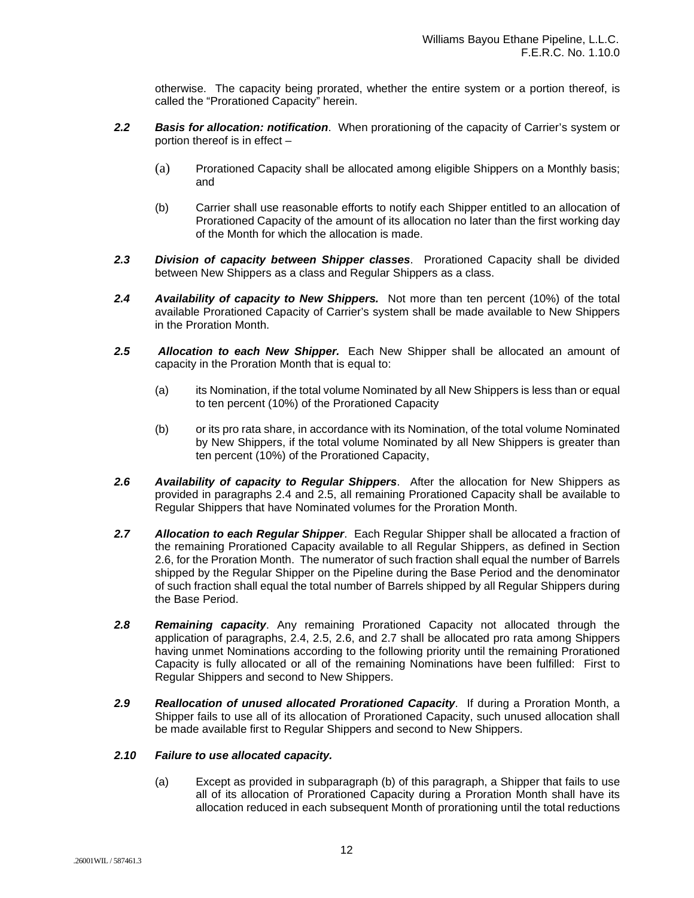otherwise. The capacity being prorated, whether the entire system or a portion thereof, is called the "Prorationed Capacity" herein.

- *2.2 Basis for allocation: notification*. When prorationing of the capacity of Carrier's system or portion thereof is in effect –
	- (a) Prorationed Capacity shall be allocated among eligible Shippers on a Monthly basis; and
	- (b) Carrier shall use reasonable efforts to notify each Shipper entitled to an allocation of Prorationed Capacity of the amount of its allocation no later than the first working day of the Month for which the allocation is made.
- *2.3 Division of capacity between Shipper classes*. Prorationed Capacity shall be divided between New Shippers as a class and Regular Shippers as a class.
- *2.4 Availability of capacity to New Shippers.* Not more than ten percent (10%) of the total available Prorationed Capacity of Carrier's system shall be made available to New Shippers in the Proration Month.
- *2.5 Allocation to each New Shipper.* Each New Shipper shall be allocated an amount of capacity in the Proration Month that is equal to:
	- (a) its Nomination, if the total volume Nominated by all New Shippers is less than or equal to ten percent (10%) of the Prorationed Capacity
	- (b) or its pro rata share, in accordance with its Nomination, of the total volume Nominated by New Shippers, if the total volume Nominated by all New Shippers is greater than ten percent (10%) of the Prorationed Capacity,
- *2.6 Availability of capacity to Regular Shippers*. After the allocation for New Shippers as provided in paragraphs 2.4 and 2.5, all remaining Prorationed Capacity shall be available to Regular Shippers that have Nominated volumes for the Proration Month.
- *2.7 Allocation to each Regular Shipper*. Each Regular Shipper shall be allocated a fraction of the remaining Prorationed Capacity available to all Regular Shippers, as defined in Section 2.6, for the Proration Month. The numerator of such fraction shall equal the number of Barrels shipped by the Regular Shipper on the Pipeline during the Base Period and the denominator of such fraction shall equal the total number of Barrels shipped by all Regular Shippers during the Base Period.
- *2.8 Remaining capacity*. Any remaining Prorationed Capacity not allocated through the application of paragraphs, 2.4, 2.5, 2.6, and 2.7 shall be allocated pro rata among Shippers having unmet Nominations according to the following priority until the remaining Prorationed Capacity is fully allocated or all of the remaining Nominations have been fulfilled: First to Regular Shippers and second to New Shippers.
- *2.9 Reallocation of unused allocated Prorationed Capacity*. If during a Proration Month, a Shipper fails to use all of its allocation of Prorationed Capacity, such unused allocation shall be made available first to Regular Shippers and second to New Shippers.

#### *2.10 Failure to use allocated capacity.*

(a) Except as provided in subparagraph (b) of this paragraph, a Shipper that fails to use all of its allocation of Prorationed Capacity during a Proration Month shall have its allocation reduced in each subsequent Month of prorationing until the total reductions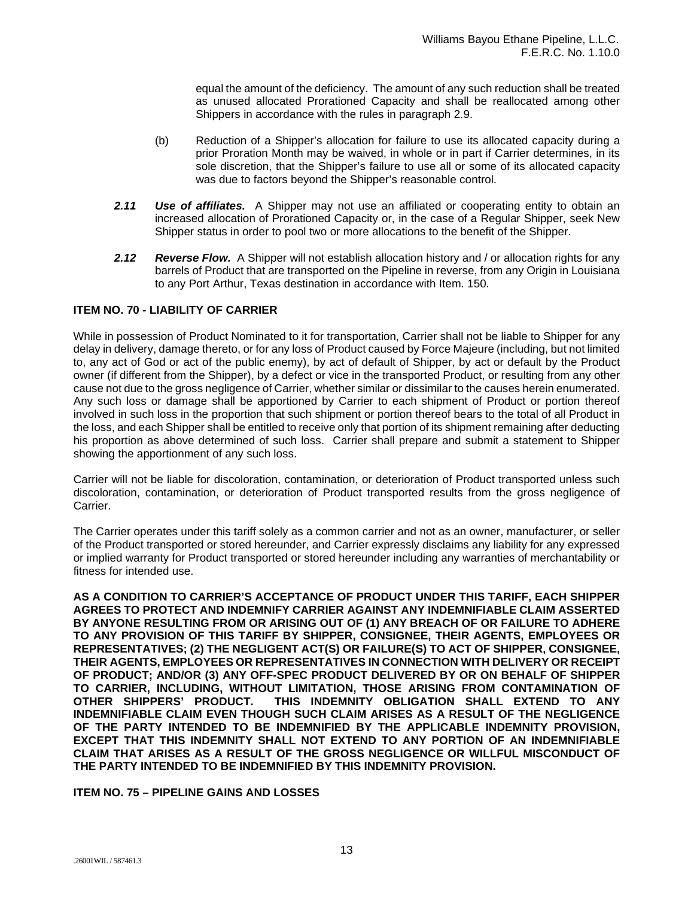equal the amount of the deficiency. The amount of any such reduction shall be treated as unused allocated Prorationed Capacity and shall be reallocated among other Shippers in accordance with the rules in paragraph 2.9.

- (b) Reduction of a Shipper's allocation for failure to use its allocated capacity during a prior Proration Month may be waived, in whole or in part if Carrier determines, in its sole discretion, that the Shipper's failure to use all or some of its allocated capacity was due to factors beyond the Shipper's reasonable control.
- *2.11 Use of affiliates.* A Shipper may not use an affiliated or cooperating entity to obtain an increased allocation of Prorationed Capacity or, in the case of a Regular Shipper, seek New Shipper status in order to pool two or more allocations to the benefit of the Shipper.
- *2.12 Reverse Flow.* A Shipper will not establish allocation history and / or allocation rights for any barrels of Product that are transported on the Pipeline in reverse, from any Origin in Louisiana to any Port Arthur, Texas destination in accordance with Item. 150.

## **ITEM NO. 70 - LIABILITY OF CARRIER**

While in possession of Product Nominated to it for transportation, Carrier shall not be liable to Shipper for any delay in delivery, damage thereto, or for any loss of Product caused by Force Majeure (including, but not limited to, any act of God or act of the public enemy), by act of default of Shipper, by act or default by the Product owner (if different from the Shipper), by a defect or vice in the transported Product, or resulting from any other cause not due to the gross negligence of Carrier, whether similar or dissimilar to the causes herein enumerated. Any such loss or damage shall be apportioned by Carrier to each shipment of Product or portion thereof involved in such loss in the proportion that such shipment or portion thereof bears to the total of all Product in the loss, and each Shipper shall be entitled to receive only that portion of its shipment remaining after deducting his proportion as above determined of such loss. Carrier shall prepare and submit a statement to Shipper showing the apportionment of any such loss.

Carrier will not be liable for discoloration, contamination, or deterioration of Product transported unless such discoloration, contamination, or deterioration of Product transported results from the gross negligence of Carrier.

The Carrier operates under this tariff solely as a common carrier and not as an owner, manufacturer, or seller of the Product transported or stored hereunder, and Carrier expressly disclaims any liability for any expressed or implied warranty for Product transported or stored hereunder including any warranties of merchantability or fitness for intended use.

**AS A CONDITION TO CARRIER'S ACCEPTANCE OF PRODUCT UNDER THIS TARIFF, EACH SHIPPER AGREES TO PROTECT AND INDEMNIFY CARRIER AGAINST ANY INDEMNIFIABLE CLAIM ASSERTED BY ANYONE RESULTING FROM OR ARISING OUT OF (1) ANY BREACH OF OR FAILURE TO ADHERE TO ANY PROVISION OF THIS TARIFF BY SHIPPER, CONSIGNEE, THEIR AGENTS, EMPLOYEES OR REPRESENTATIVES; (2) THE NEGLIGENT ACT(S) OR FAILURE(S) TO ACT OF SHIPPER, CONSIGNEE, THEIR AGENTS, EMPLOYEES OR REPRESENTATIVES IN CONNECTION WITH DELIVERY OR RECEIPT OF PRODUCT; AND/OR (3) ANY OFF-SPEC PRODUCT DELIVERED BY OR ON BEHALF OF SHIPPER TO CARRIER, INCLUDING, WITHOUT LIMITATION, THOSE ARISING FROM CONTAMINATION OF**  THIS INDEMNITY OBLIGATION SHALL EXTEND TO ANY **INDEMNIFIABLE CLAIM EVEN THOUGH SUCH CLAIM ARISES AS A RESULT OF THE NEGLIGENCE OF THE PARTY INTENDED TO BE INDEMNIFIED BY THE APPLICABLE INDEMNITY PROVISION, EXCEPT THAT THIS INDEMNITY SHALL NOT EXTEND TO ANY PORTION OF AN INDEMNIFIABLE CLAIM THAT ARISES AS A RESULT OF THE GROSS NEGLIGENCE OR WILLFUL MISCONDUCT OF THE PARTY INTENDED TO BE INDEMNIFIED BY THIS INDEMNITY PROVISION.**

## **ITEM NO. 75 – PIPELINE GAINS AND LOSSES**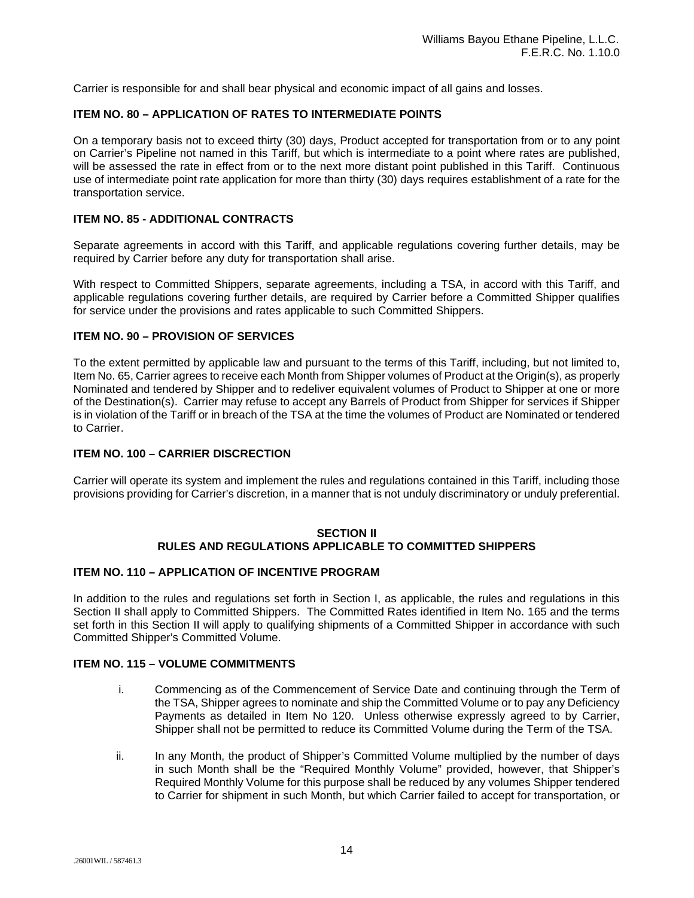Carrier is responsible for and shall bear physical and economic impact of all gains and losses.

## **ITEM NO. 80 – APPLICATION OF RATES TO INTERMEDIATE POINTS**

On a temporary basis not to exceed thirty (30) days, Product accepted for transportation from or to any point on Carrier's Pipeline not named in this Tariff, but which is intermediate to a point where rates are published, will be assessed the rate in effect from or to the next more distant point published in this Tariff. Continuous use of intermediate point rate application for more than thirty (30) days requires establishment of a rate for the transportation service.

## **ITEM NO. 85 - ADDITIONAL CONTRACTS**

Separate agreements in accord with this Tariff, and applicable regulations covering further details, may be required by Carrier before any duty for transportation shall arise.

With respect to Committed Shippers, separate agreements, including a TSA, in accord with this Tariff, and applicable regulations covering further details, are required by Carrier before a Committed Shipper qualifies for service under the provisions and rates applicable to such Committed Shippers.

## **ITEM NO. 90 – PROVISION OF SERVICES**

To the extent permitted by applicable law and pursuant to the terms of this Tariff, including, but not limited to, Item No. 65, Carrier agrees to receive each Month from Shipper volumes of Product at the Origin(s), as properly Nominated and tendered by Shipper and to redeliver equivalent volumes of Product to Shipper at one or more of the Destination(s). Carrier may refuse to accept any Barrels of Product from Shipper for services if Shipper is in violation of the Tariff or in breach of the TSA at the time the volumes of Product are Nominated or tendered to Carrier.

### **ITEM NO. 100 – CARRIER DISCRECTION**

Carrier will operate its system and implement the rules and regulations contained in this Tariff, including those provisions providing for Carrier's discretion, in a manner that is not unduly discriminatory or unduly preferential.

#### **SECTION II RULES AND REGULATIONS APPLICABLE TO COMMITTED SHIPPERS**

#### **ITEM NO. 110 – APPLICATION OF INCENTIVE PROGRAM**

In addition to the rules and regulations set forth in Section I, as applicable, the rules and regulations in this Section II shall apply to Committed Shippers. The Committed Rates identified in Item No. 165 and the terms set forth in this Section II will apply to qualifying shipments of a Committed Shipper in accordance with such Committed Shipper's Committed Volume.

# **ITEM NO. 115 – VOLUME COMMITMENTS**

- i. Commencing as of the Commencement of Service Date and continuing through the Term of the TSA, Shipper agrees to nominate and ship the Committed Volume or to pay any Deficiency Payments as detailed in Item No 120. Unless otherwise expressly agreed to by Carrier, Shipper shall not be permitted to reduce its Committed Volume during the Term of the TSA.
- ii. In any Month, the product of Shipper's Committed Volume multiplied by the number of days in such Month shall be the "Required Monthly Volume" provided, however, that Shipper's Required Monthly Volume for this purpose shall be reduced by any volumes Shipper tendered to Carrier for shipment in such Month, but which Carrier failed to accept for transportation, or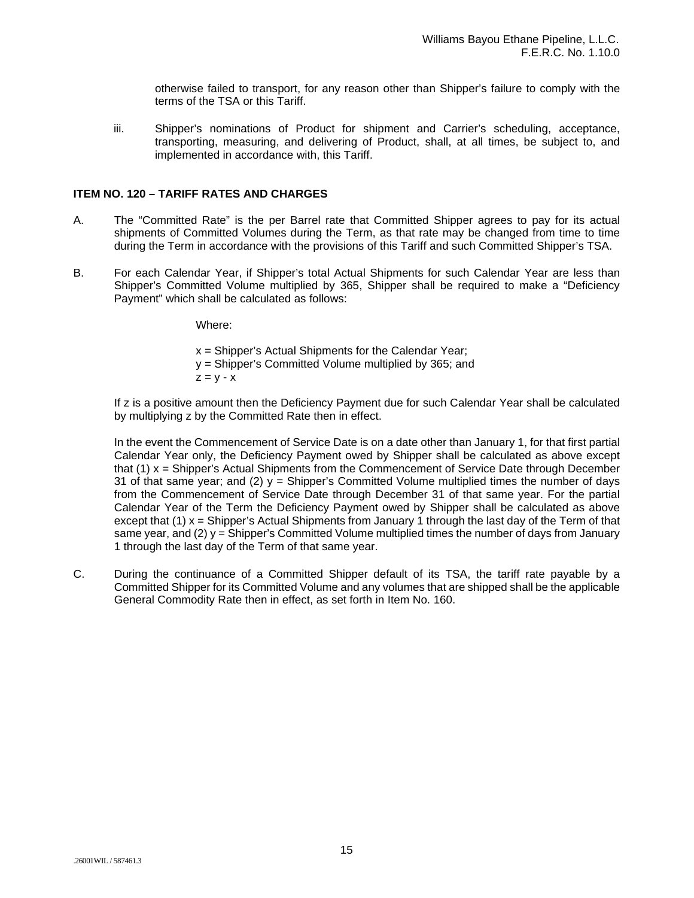otherwise failed to transport, for any reason other than Shipper's failure to comply with the terms of the TSA or this Tariff.

iii. Shipper's nominations of Product for shipment and Carrier's scheduling, acceptance, transporting, measuring, and delivering of Product, shall, at all times, be subject to, and implemented in accordance with, this Tariff.

## **ITEM NO. 120 – TARIFF RATES AND CHARGES**

- A. The "Committed Rate" is the per Barrel rate that Committed Shipper agrees to pay for its actual shipments of Committed Volumes during the Term, as that rate may be changed from time to time during the Term in accordance with the provisions of this Tariff and such Committed Shipper's TSA.
- B. For each Calendar Year, if Shipper's total Actual Shipments for such Calendar Year are less than Shipper's Committed Volume multiplied by 365, Shipper shall be required to make a "Deficiency Payment" which shall be calculated as follows:

Where:

x = Shipper's Actual Shipments for the Calendar Year; y = Shipper's Committed Volume multiplied by 365; and  $Z = V - X$ 

If z is a positive amount then the Deficiency Payment due for such Calendar Year shall be calculated by multiplying z by the Committed Rate then in effect.

In the event the Commencement of Service Date is on a date other than January 1, for that first partial Calendar Year only, the Deficiency Payment owed by Shipper shall be calculated as above except that (1) x = Shipper's Actual Shipments from the Commencement of Service Date through December 31 of that same year; and (2)  $y =$  Shipper's Committed Volume multiplied times the number of days from the Commencement of Service Date through December 31 of that same year. For the partial Calendar Year of the Term the Deficiency Payment owed by Shipper shall be calculated as above except that (1) x = Shipper's Actual Shipments from January 1 through the last day of the Term of that same year, and  $(2)$  y = Shipper's Committed Volume multiplied times the number of days from January 1 through the last day of the Term of that same year.

C. During the continuance of a Committed Shipper default of its TSA, the tariff rate payable by a Committed Shipper for its Committed Volume and any volumes that are shipped shall be the applicable General Commodity Rate then in effect, as set forth in Item No. 160.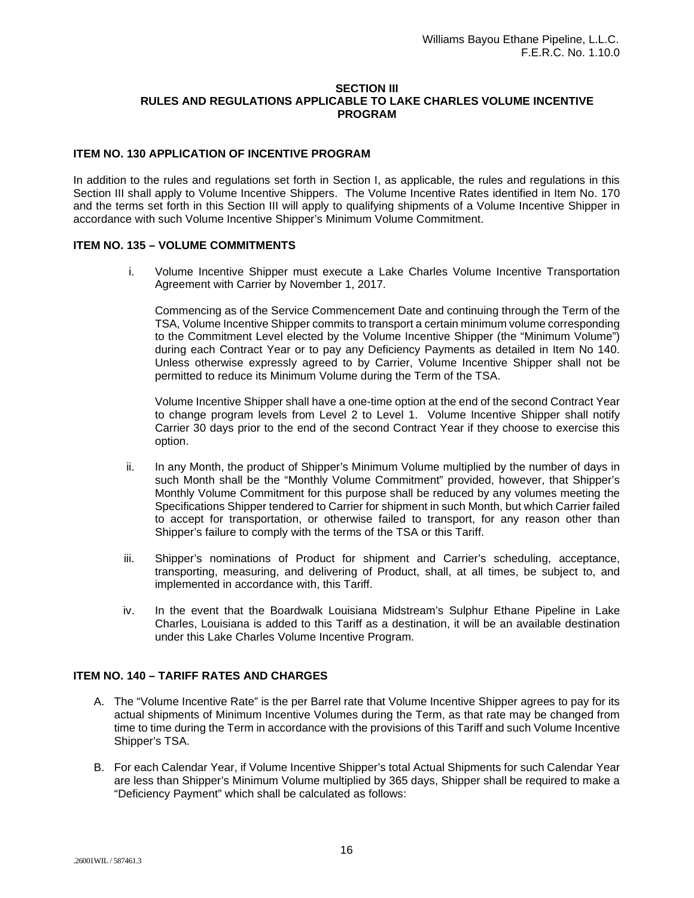#### **SECTION III RULES AND REGULATIONS APPLICABLE TO LAKE CHARLES VOLUME INCENTIVE PROGRAM**

## **ITEM NO. 130 APPLICATION OF INCENTIVE PROGRAM**

In addition to the rules and regulations set forth in Section I, as applicable, the rules and regulations in this Section III shall apply to Volume Incentive Shippers. The Volume Incentive Rates identified in Item No. 170 and the terms set forth in this Section III will apply to qualifying shipments of a Volume Incentive Shipper in accordance with such Volume Incentive Shipper's Minimum Volume Commitment.

#### **ITEM NO. 135 – VOLUME COMMITMENTS**

i. Volume Incentive Shipper must execute a Lake Charles Volume Incentive Transportation Agreement with Carrier by November 1, 2017.

Commencing as of the Service Commencement Date and continuing through the Term of the TSA, Volume Incentive Shipper commits to transport a certain minimum volume corresponding to the Commitment Level elected by the Volume Incentive Shipper (the "Minimum Volume") during each Contract Year or to pay any Deficiency Payments as detailed in Item No 140. Unless otherwise expressly agreed to by Carrier, Volume Incentive Shipper shall not be permitted to reduce its Minimum Volume during the Term of the TSA.

Volume Incentive Shipper shall have a one-time option at the end of the second Contract Year to change program levels from Level 2 to Level 1. Volume Incentive Shipper shall notify Carrier 30 days prior to the end of the second Contract Year if they choose to exercise this option.

- ii. In any Month, the product of Shipper's Minimum Volume multiplied by the number of days in such Month shall be the "Monthly Volume Commitment" provided, however, that Shipper's Monthly Volume Commitment for this purpose shall be reduced by any volumes meeting the Specifications Shipper tendered to Carrier for shipment in such Month, but which Carrier failed to accept for transportation, or otherwise failed to transport, for any reason other than Shipper's failure to comply with the terms of the TSA or this Tariff.
- iii. Shipper's nominations of Product for shipment and Carrier's scheduling, acceptance, transporting, measuring, and delivering of Product, shall, at all times, be subject to, and implemented in accordance with, this Tariff.
- iv. In the event that the Boardwalk Louisiana Midstream's Sulphur Ethane Pipeline in Lake Charles, Louisiana is added to this Tariff as a destination, it will be an available destination under this Lake Charles Volume Incentive Program.

### **ITEM NO. 140 – TARIFF RATES AND CHARGES**

- A. The "Volume Incentive Rate" is the per Barrel rate that Volume Incentive Shipper agrees to pay for its actual shipments of Minimum Incentive Volumes during the Term, as that rate may be changed from time to time during the Term in accordance with the provisions of this Tariff and such Volume Incentive Shipper's TSA.
- B. For each Calendar Year, if Volume Incentive Shipper's total Actual Shipments for such Calendar Year are less than Shipper's Minimum Volume multiplied by 365 days, Shipper shall be required to make a "Deficiency Payment" which shall be calculated as follows: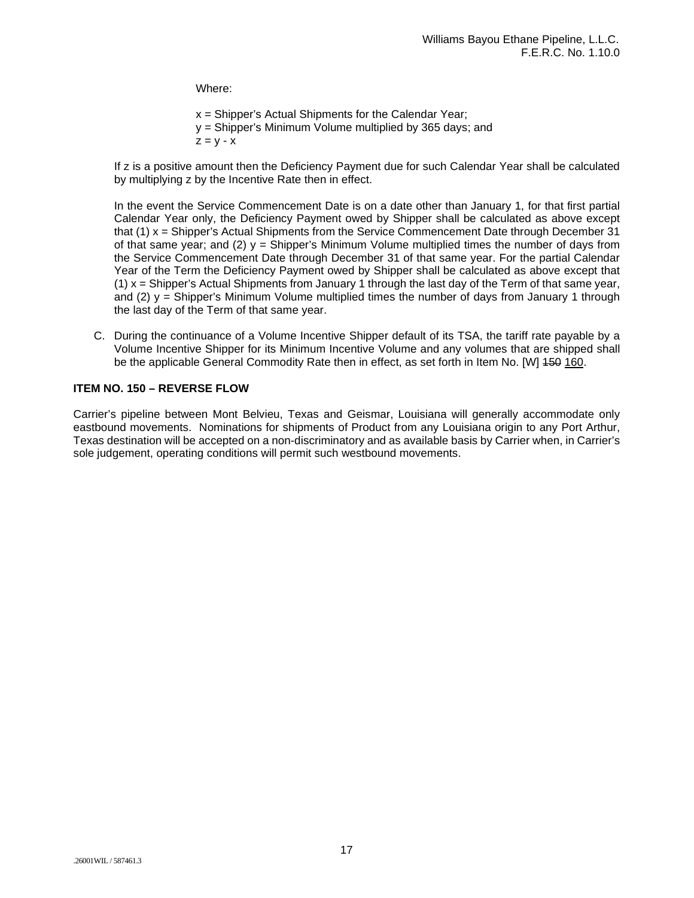Where:

x = Shipper's Actual Shipments for the Calendar Year; y = Shipper's Minimum Volume multiplied by 365 days; and  $Z = V - X$ 

If z is a positive amount then the Deficiency Payment due for such Calendar Year shall be calculated by multiplying z by the Incentive Rate then in effect.

In the event the Service Commencement Date is on a date other than January 1, for that first partial Calendar Year only, the Deficiency Payment owed by Shipper shall be calculated as above except that (1) x = Shipper's Actual Shipments from the Service Commencement Date through December 31 of that same year; and (2)  $y =$  Shipper's Minimum Volume multiplied times the number of days from the Service Commencement Date through December 31 of that same year. For the partial Calendar Year of the Term the Deficiency Payment owed by Shipper shall be calculated as above except that  $(1)$  x = Shipper's Actual Shipments from January 1 through the last day of the Term of that same year, and (2)  $y =$  Shipper's Minimum Volume multiplied times the number of days from January 1 through the last day of the Term of that same year.

C. During the continuance of a Volume Incentive Shipper default of its TSA, the tariff rate payable by a Volume Incentive Shipper for its Minimum Incentive Volume and any volumes that are shipped shall be the applicable General Commodity Rate then in effect, as set forth in Item No. [W] 450 160.

## **ITEM NO. 150 – REVERSE FLOW**

Carrier's pipeline between Mont Belvieu, Texas and Geismar, Louisiana will generally accommodate only eastbound movements. Nominations for shipments of Product from any Louisiana origin to any Port Arthur, Texas destination will be accepted on a non-discriminatory and as available basis by Carrier when, in Carrier's sole judgement, operating conditions will permit such westbound movements.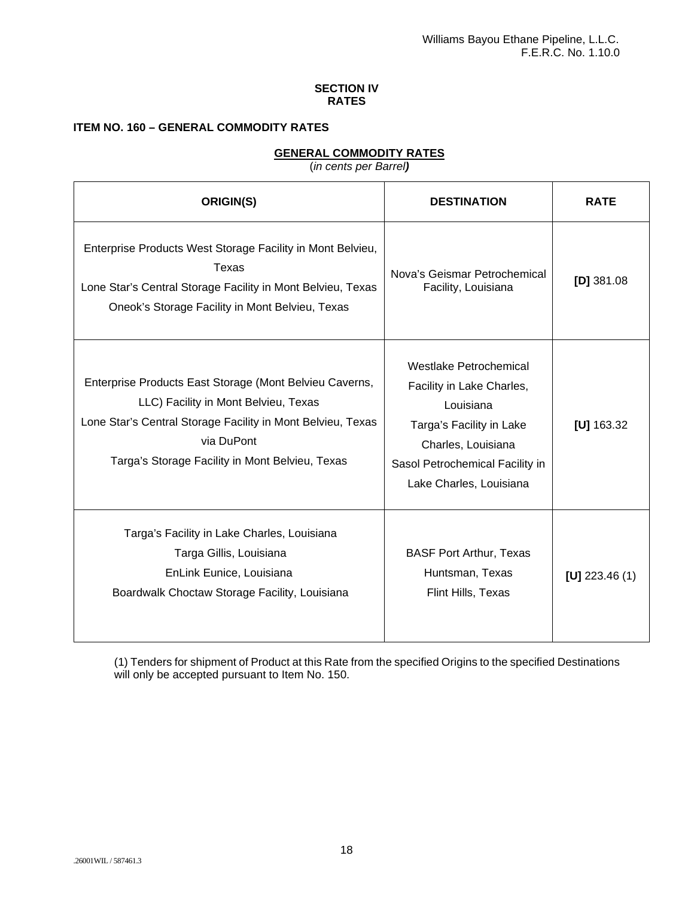## **SECTION IV RATES**

# **ITEM NO. 160 – GENERAL COMMODITY RATES**

# **GENERAL COMMODITY RATES**

(*in cents per Barrel)*

| ORIGIN(S)                                                                                                                                                                                                                       | <b>DESTINATION</b>                                                                                                                                                               | <b>RATE</b>     |
|---------------------------------------------------------------------------------------------------------------------------------------------------------------------------------------------------------------------------------|----------------------------------------------------------------------------------------------------------------------------------------------------------------------------------|-----------------|
| Enterprise Products West Storage Facility in Mont Belvieu,<br>Texas<br>Lone Star's Central Storage Facility in Mont Belvieu, Texas<br>Oneok's Storage Facility in Mont Belvieu, Texas                                           | Nova's Geismar Petrochemical<br>Facility, Louisiana                                                                                                                              | $[D]$ 381.08    |
| Enterprise Products East Storage (Mont Belvieu Caverns,<br>LLC) Facility in Mont Belvieu, Texas<br>Lone Star's Central Storage Facility in Mont Belvieu, Texas<br>via DuPont<br>Targa's Storage Facility in Mont Belvieu, Texas | Westlake Petrochemical<br>Facility in Lake Charles,<br>Louisiana<br>Targa's Facility in Lake<br>Charles, Louisiana<br>Sasol Petrochemical Facility in<br>Lake Charles, Louisiana | [U] $163.32$    |
| Targa's Facility in Lake Charles, Louisiana<br>Targa Gillis, Louisiana<br>EnLink Eunice, Louisiana<br>Boardwalk Choctaw Storage Facility, Louisiana                                                                             | <b>BASF Port Arthur, Texas</b><br>Huntsman, Texas<br>Flint Hills, Texas                                                                                                          | [U] $223.46(1)$ |

(1) Tenders for shipment of Product at this Rate from the specified Origins to the specified Destinations will only be accepted pursuant to Item No. 150.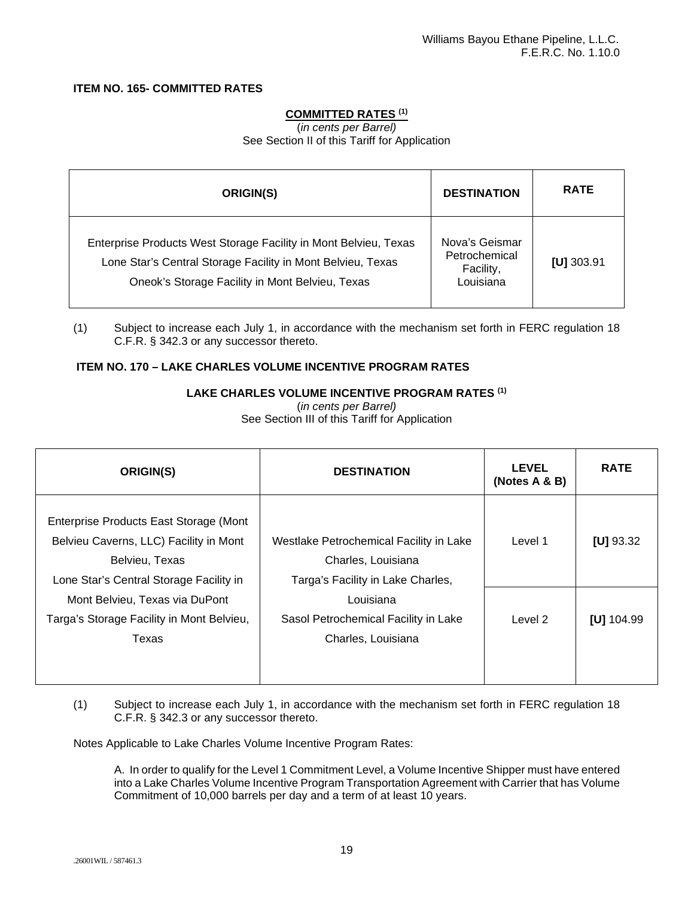## **ITEM NO. 165- COMMITTED RATES**

## **COMMITTED RATES (1)**

(*in cents per Barrel)* See Section II of this Tariff for Application

| ORIGIN(S)                                                                                                                                                                          | <b>DESTINATION</b>                                        | <b>RATE</b>  |
|------------------------------------------------------------------------------------------------------------------------------------------------------------------------------------|-----------------------------------------------------------|--------------|
| Enterprise Products West Storage Facility in Mont Belvieu, Texas<br>Lone Star's Central Storage Facility in Mont Belvieu, Texas<br>Oneok's Storage Facility in Mont Belvieu, Texas | Nova's Geismar<br>Petrochemical<br>Facility,<br>Louisiana | $[U]$ 303.91 |

(1) Subject to increase each July 1, in accordance with the mechanism set forth in FERC regulation 18 C.F.R. § 342.3 or any successor thereto.

## **ITEM NO. 170 – LAKE CHARLES VOLUME INCENTIVE PROGRAM RATES**

#### **LAKE CHARLES VOLUME INCENTIVE PROGRAM RATES (1)**

(*in cents per Barrel)*

See Section III of this Tariff for Application

| ORIGIN(S)                                                                                                                                     | <b>DESTINATION</b>                                                                                 | <b>LEVEL</b><br>(Notes A & B) | <b>RATE</b>   |
|-----------------------------------------------------------------------------------------------------------------------------------------------|----------------------------------------------------------------------------------------------------|-------------------------------|---------------|
| Enterprise Products East Storage (Mont<br>Belvieu Caverns, LLC) Facility in Mont<br>Belvieu, Texas<br>Lone Star's Central Storage Facility in | Westlake Petrochemical Facility in Lake<br>Charles, Louisiana<br>Targa's Facility in Lake Charles, | Level 1                       | [ $U$ ] 93.32 |
| Mont Belvieu, Texas via DuPont<br>Targa's Storage Facility in Mont Belvieu,<br>Texas                                                          | Louisiana<br>Sasol Petrochemical Facility in Lake<br>Charles, Louisiana                            | Level 2                       | [U] $104.99$  |

(1) Subject to increase each July 1, in accordance with the mechanism set forth in FERC regulation 18 C.F.R. § 342.3 or any successor thereto.

Notes Applicable to Lake Charles Volume Incentive Program Rates:

A. In order to qualify for the Level 1 Commitment Level, a Volume Incentive Shipper must have entered into a Lake Charles Volume Incentive Program Transportation Agreement with Carrier that has Volume Commitment of 10,000 barrels per day and a term of at least 10 years.